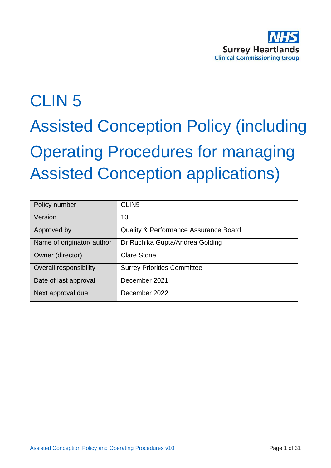

# CLIN 5 Assisted Conception Policy (including Operating Procedures for managing Assisted Conception applications)

| Policy number              | CLIN <sub>5</sub>                     |
|----------------------------|---------------------------------------|
| Version                    | 10                                    |
| Approved by                | Quality & Performance Assurance Board |
| Name of originator/ author | Dr Ruchika Gupta/Andrea Golding       |
| Owner (director)           | <b>Clare Stone</b>                    |
| Overall responsibility     | <b>Surrey Priorities Committee</b>    |
| Date of last approval      | December 2021                         |
| Next approval due          | December 2022                         |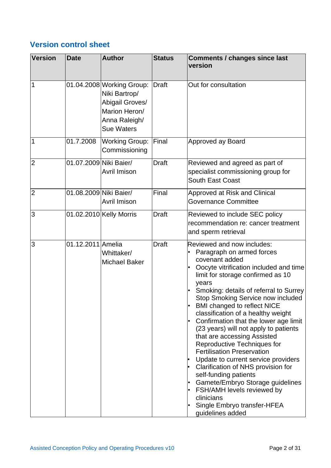## **Version control sheet**

| <b>Version</b> | <b>Date</b>            | <b>Author</b>                                                                                                        | <b>Status</b> | <b>Comments / changes since last</b><br>version                                                                                                                                                                                                                                                                                                                                                                                                                                                                                                                                                                                                                                                                                                                   |
|----------------|------------------------|----------------------------------------------------------------------------------------------------------------------|---------------|-------------------------------------------------------------------------------------------------------------------------------------------------------------------------------------------------------------------------------------------------------------------------------------------------------------------------------------------------------------------------------------------------------------------------------------------------------------------------------------------------------------------------------------------------------------------------------------------------------------------------------------------------------------------------------------------------------------------------------------------------------------------|
| 1              |                        | 01.04.2008 Working Group:<br>Niki Bartrop/<br>Abigail Groves/<br>Marion Heron/<br>Anna Raleigh/<br><b>Sue Waters</b> | Draft         | Out for consultation                                                                                                                                                                                                                                                                                                                                                                                                                                                                                                                                                                                                                                                                                                                                              |
| 1              | 01.7.2008              | <b>Working Group:</b><br>Commissioning                                                                               | Final         | Approved ay Board                                                                                                                                                                                                                                                                                                                                                                                                                                                                                                                                                                                                                                                                                                                                                 |
| $\overline{2}$ | 01.07.2009 Niki Baier/ | Avril Imison                                                                                                         | <b>Draft</b>  | Reviewed and agreed as part of<br>specialist commissioning group for<br><b>South East Coast</b>                                                                                                                                                                                                                                                                                                                                                                                                                                                                                                                                                                                                                                                                   |
| $\overline{2}$ | 01.08.2009 Niki Baier/ | Avril Imison                                                                                                         | Final         | Approved at Risk and Clinical<br>Governance Committee                                                                                                                                                                                                                                                                                                                                                                                                                                                                                                                                                                                                                                                                                                             |
| 3              |                        | 01.02.2010 Kelly Morris                                                                                              | <b>Draft</b>  | Reviewed to include SEC policy<br>recommendation re: cancer treatment<br>and sperm retrieval                                                                                                                                                                                                                                                                                                                                                                                                                                                                                                                                                                                                                                                                      |
| 3              | 01.12.2011 Amelia      | Whittaker/<br><b>Michael Baker</b>                                                                                   | <b>Draft</b>  | Reviewed and now includes:<br>Paragraph on armed forces<br>covenant added<br>Oocyte vitrification included and time<br>limit for storage confirmed as 10<br>years<br>Smoking: details of referral to Surrey<br><b>Stop Smoking Service now included</b><br><b>BMI changed to reflect NICE</b><br>classification of a healthy weight<br>Confirmation that the lower age limit<br>(23 years) will not apply to patients<br>that are accessing Assisted<br>Reproductive Techniques for<br><b>Fertilisation Preservation</b><br>Update to current service providers<br>Clarification of NHS provision for<br>self-funding patients<br>Gamete/Embryo Storage guidelines<br>FSH/AMH levels reviewed by<br>clinicians<br>Single Embryo transfer-HFEA<br>guidelines added |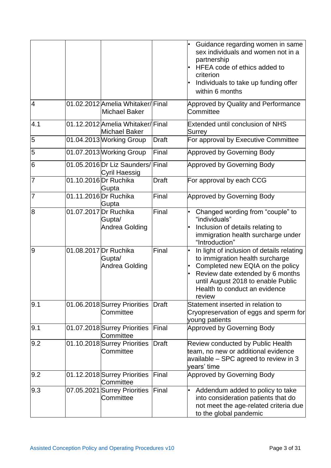|                 |                                                          |              | Guidance regarding women in same<br>sex individuals and women not in a<br>partnership<br>HFEA code of ethics added to<br>criterion<br>Individuals to take up funding offer<br>within 6 months                                         |
|-----------------|----------------------------------------------------------|--------------|---------------------------------------------------------------------------------------------------------------------------------------------------------------------------------------------------------------------------------------|
| $\overline{4}$  | 01.02.2012 Amelia Whitaker/Final<br><b>Michael Baker</b> |              | Approved by Quality and Performance<br>Committee                                                                                                                                                                                      |
| 4.1             | 01.12.2012 Amelia Whitaker/Final<br>Michael Baker        |              | <b>Extended until conclusion of NHS</b><br>Surrey                                                                                                                                                                                     |
| 5               | 01.04.2013 Working Group                                 | <b>Draft</b> | For approval by Executive Committee                                                                                                                                                                                                   |
| 5               | 01.07.2013 Working Group                                 | Final        | Approved by Governing Body                                                                                                                                                                                                            |
| $6\phantom{1}6$ | 01.05.2016 Dr Liz Saunders/ Final<br>Cyril Haessig       |              | Approved by Governing Body                                                                                                                                                                                                            |
| $\overline{7}$  | 01.10.2016 Dr Ruchika<br>Gupta                           | <b>Draft</b> | For approval by each CCG                                                                                                                                                                                                              |
| $\overline{7}$  | 01.11.2016 Dr Ruchika<br> Gupta                          | Final        | Approved by Governing Body                                                                                                                                                                                                            |
| 8               | 01.07.2017 Dr Ruchika<br>Gupta/<br>Andrea Golding        | Final        | Changed wording from "couple" to<br>"individuals"<br>Inclusion of details relating to<br>immigration health surcharge under<br>"Introduction"                                                                                         |
| 9               | 01.08.2017 Dr Ruchika<br>Gupta/<br>Andrea Golding        | Final        | In light of inclusion of details relating<br>to immigration health surcharge<br>Completed new EQIA on the policy<br>Review date extended by 6 months<br>until August 2018 to enable Public<br>Health to conduct an evidence<br>review |
| 9.1             | 01.06.2018 Surrey Priorities<br>Committee                | <b>Draft</b> | Statement inserted in relation to<br>Cryopreservation of eggs and sperm for<br>young patients                                                                                                                                         |
| 9.1             | 01.07.2018 Surrey Priorities<br>Committee                | Final        | <b>Approved by Governing Body</b>                                                                                                                                                                                                     |
| 9.2             | 01.10.2018 Surrey Priorities<br>Committee                | <b>Draft</b> | <b>Review conducted by Public Health</b><br>team, no new or additional evidence<br>available - SPC agreed to review in 3<br>years' time                                                                                               |
| 9.2             | 01.12.2018 Surrey Priorities<br>Committee                | Final        | <b>Approved by Governing Body</b>                                                                                                                                                                                                     |
| 9.3             | 07.05.2021 Surrey Priorities<br>Committee                | Final        | Addendum added to policy to take<br>٠<br>into consideration patients that do<br>not meet the age-related criteria due<br>to the global pandemic                                                                                       |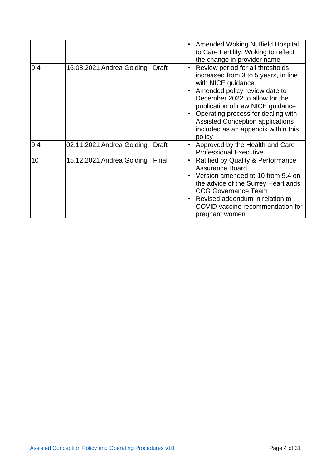|     |                           |              | <b>Amended Woking Nuffield Hospital</b><br>to Care Fertility, Woking to reflect<br>the change in provider name                                                                                                                                                                                                                          |
|-----|---------------------------|--------------|-----------------------------------------------------------------------------------------------------------------------------------------------------------------------------------------------------------------------------------------------------------------------------------------------------------------------------------------|
| 9.4 | 16.08.2021 Andrea Golding | <b>Draft</b> | Review period for all thresholds<br>increased from 3 to 5 years, in line<br>with NICE guidance<br>Amended policy review date to<br>December 2022 to allow for the<br>publication of new NICE guidance<br>Operating process for dealing with<br><b>Assisted Conception applications</b><br>included as an appendix within this<br>policy |
| 9.4 | 02.11.2021 Andrea Golding | Draft        | Approved by the Health and Care<br><b>Professional Executive</b>                                                                                                                                                                                                                                                                        |
| 10  | 15.12.2021 Andrea Golding | Final        | <b>Ratified by Quality &amp; Performance</b><br><b>Assurance Board</b><br>Version amended to 10 from 9.4 on<br>the advice of the Surrey Heartlands<br><b>CCG Governance Team</b><br>Revised addendum in relation to<br>COVID vaccine recommendation for<br>pregnant women                                                               |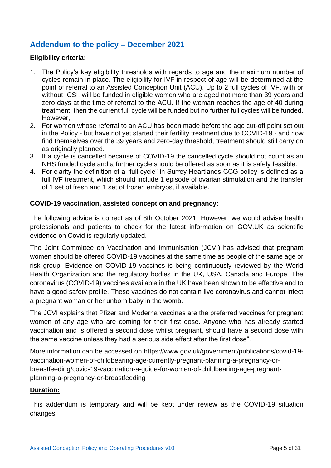## **Addendum to the policy – December 2021**

#### **Eligibility criteria:**

- 1. The Policy's key eligibility thresholds with regards to age and the maximum number of cycles remain in place. The eligibility for IVF in respect of age will be determined at the point of referral to an Assisted Conception Unit (ACU). Up to 2 full cycles of IVF, with or without ICSI, will be funded in eligible women who are aged not more than 39 years and zero days at the time of referral to the ACU. If the woman reaches the age of 40 during treatment, then the current full cycle will be funded but no further full cycles will be funded. However,
- 2. For women whose referral to an ACU has been made before the age cut-off point set out in the Policy - but have not yet started their fertility treatment due to COVID-19 - and now find themselves over the 39 years and zero-day threshold, treatment should still carry on as originally planned.
- 3. If a cycle is cancelled because of COVID-19 the cancelled cycle should not count as an NHS funded cycle and a further cycle should be offered as soon as it is safely feasible.
- 4. For clarity the definition of a "full cycle" in Surrey Heartlands CCG policy is defined as a full IVF treatment, which should include 1 episode of ovarian stimulation and the transfer of 1 set of fresh and 1 set of frozen embryos, if available.

#### **COVID-19 vaccination, assisted conception and pregnancy:**

The following advice is correct as of 8th October 2021. However, we would advise health professionals and patients to check for the latest information on GOV.UK as scientific evidence on Covid is regularly updated.

The Joint Committee on Vaccination and Immunisation (JCVI) has advised that pregnant women should be offered COVID-19 vaccines at the same time as people of the same age or risk group. Evidence on COVID-19 vaccines is being continuously reviewed by the World Health Organization and the regulatory bodies in the UK, USA, Canada and Europe. The coronavirus (COVID-19) vaccines available in the UK have been shown to be effective and to have a good safety profile. These vaccines do not contain live coronavirus and cannot infect a pregnant woman or her unborn baby in the womb.

The JCVI explains that Pfizer and Moderna vaccines are the preferred vaccines for pregnant women of any age who are coming for their first dose. Anyone who has already started vaccination and is offered a second dose whilst pregnant, should have a second dose with the same vaccine unless they had a serious side effect after the first dose".

More information can be accessed on [https://www.gov.uk/government/publications/covid-19](https://www.gov.uk/government/publications/covid-19-vaccination-women-of-childbearing-age-currently-pregnant-planning-a-pregnancy-or-breastfeeding/covid-19-vaccination-a-guide-for-women-of-childbearing-age-pregnant-planning-a-pregnancy-or-breastfeeding) [vaccination-women-of-childbearing-age-currently-pregnant-planning-a-pregnancy-or](https://www.gov.uk/government/publications/covid-19-vaccination-women-of-childbearing-age-currently-pregnant-planning-a-pregnancy-or-breastfeeding/covid-19-vaccination-a-guide-for-women-of-childbearing-age-pregnant-planning-a-pregnancy-or-breastfeeding)[breastfeeding/covid-19-vaccination-a-guide-for-women-of-childbearing-age-pregnant](https://www.gov.uk/government/publications/covid-19-vaccination-women-of-childbearing-age-currently-pregnant-planning-a-pregnancy-or-breastfeeding/covid-19-vaccination-a-guide-for-women-of-childbearing-age-pregnant-planning-a-pregnancy-or-breastfeeding)[planning-a-pregnancy-or-breastfeeding](https://www.gov.uk/government/publications/covid-19-vaccination-women-of-childbearing-age-currently-pregnant-planning-a-pregnancy-or-breastfeeding/covid-19-vaccination-a-guide-for-women-of-childbearing-age-pregnant-planning-a-pregnancy-or-breastfeeding)

#### **Duration:**

This addendum is temporary and will be kept under review as the COVID-19 situation changes.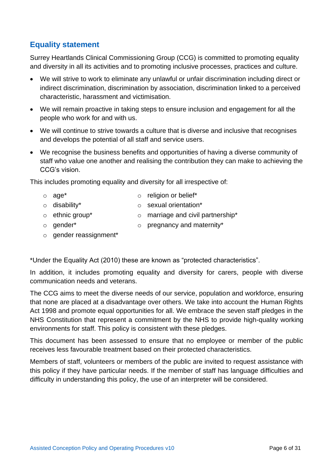## **Equality statement**

Surrey Heartlands Clinical Commissioning Group (CCG) is committed to promoting equality and diversity in all its activities and to promoting inclusive processes, practices and culture.

- We will strive to work to eliminate any unlawful or unfair discrimination including direct or indirect discrimination, discrimination by association, discrimination linked to a perceived characteristic, harassment and victimisation.
- We will remain proactive in taking steps to ensure inclusion and engagement for all the people who work for and with us.
- We will continue to strive towards a culture that is diverse and inclusive that recognises and develops the potential of all staff and service users.
- We recognise the business benefits and opportunities of having a diverse community of staff who value one another and realising the contribution they can make to achieving the CCG's vision.

This includes promoting equality and diversity for all irrespective of:

- 
- o age\* o religion or belief\*
- 
- o disability\* o sexual orientation\*
- o ethnic group\* o marriage and civil partnership\*
- o gender\* o pregnancy and maternity\*
- 
- o gender reassignment\*

\*Under the Equality Act (2010) these are known as "protected characteristics".

In addition, it includes promoting equality and diversity for carers, people with diverse communication needs and veterans.

The CCG aims to meet the diverse needs of our service, population and workforce, ensuring that none are placed at a disadvantage over others. We take into account the Human Rights Act 1998 and promote equal opportunities for all. We embrace the seven staff pledges in the NHS Constitution that represent a commitment by the NHS to provide high-quality working environments for staff. This policy is consistent with these pledges.

This document has been assessed to ensure that no employee or member of the public receives less favourable treatment based on their protected characteristics.

Members of staff, volunteers or members of the public are invited to request assistance with this policy if they have particular needs. If the member of staff has language difficulties and difficulty in understanding this policy, the use of an interpreter will be considered.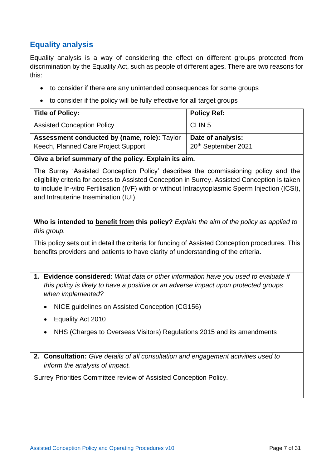## **Equality analysis**

Equality analysis is a way of considering the effect on different groups protected from discrimination by the Equality Act, such as people of different ages. There are two reasons for this:

- to consider if there are any unintended consequences for some groups
- to consider if the policy will be fully effective for all target groups

| <b>Title of Policy:</b>                                                             | <b>Policy Ref:</b>                       |
|-------------------------------------------------------------------------------------|------------------------------------------|
| <b>Assisted Conception Policy</b>                                                   | CLIN <sub>5</sub>                        |
| Assessment conducted by (name, role): Taylor<br>Keech, Planned Care Project Support | Date of analysis:<br>20th September 2021 |

**Give a brief summary of the policy. Explain its aim.**

The Surrey 'Assisted Conception Policy' describes the commissioning policy and the eligibility criteria for access to Assisted Conception in Surrey. Assisted Conception is taken to include In-vitro Fertilisation (IVF) with or without Intracytoplasmic Sperm Injection (ICSI), and Intrauterine Insemination (IUI).

**Who is intended to benefit from this policy?** *Explain the aim of the policy as applied to this group.*

This policy sets out in detail the criteria for funding of Assisted Conception procedures. This benefits providers and patients to have clarity of understanding of the criteria.

- **1. Evidence considered:** *What data or other information have you used to evaluate if this policy is likely to have a positive or an adverse impact upon protected groups when implemented?*
	- NICE guidelines on Assisted Conception (CG156)
	- Equality Act 2010
	- NHS (Charges to Overseas Visitors) Regulations 2015 and its amendments
- **2. Consultation:** *Give details of all consultation and engagement activities used to inform the analysis of impact.*

Surrey Priorities Committee review of Assisted Conception Policy.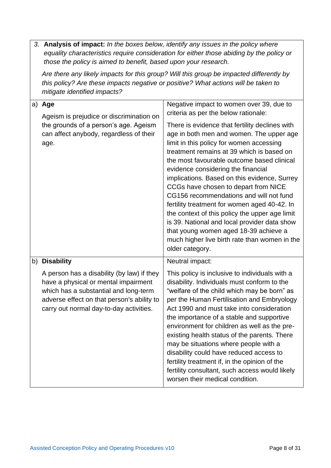|  | 3. Analysis of impact: In the boxes below, identify any issues in the policy where<br>those the policy is aimed to benefit, based upon your research.                                                                | equality characteristics require consideration for either those abiding by the policy or                                                                                                                                                                                                                                                                                                                                                                                                                                                                                                                                                                                                                                                                      |
|--|----------------------------------------------------------------------------------------------------------------------------------------------------------------------------------------------------------------------|---------------------------------------------------------------------------------------------------------------------------------------------------------------------------------------------------------------------------------------------------------------------------------------------------------------------------------------------------------------------------------------------------------------------------------------------------------------------------------------------------------------------------------------------------------------------------------------------------------------------------------------------------------------------------------------------------------------------------------------------------------------|
|  | this policy? Are these impacts negative or positive? What actions will be taken to<br>mitigate identified impacts?                                                                                                   | Are there any likely impacts for this group? Will this group be impacted differently by                                                                                                                                                                                                                                                                                                                                                                                                                                                                                                                                                                                                                                                                       |
|  | a) Age<br>Ageism is prejudice or discrimination on<br>the grounds of a person's age. Ageism<br>can affect anybody, regardless of their<br>age.                                                                       | Negative impact to women over 39, due to<br>criteria as per the below rationale:<br>There is evidence that fertility declines with<br>age in both men and women. The upper age<br>limit in this policy for women accessing<br>treatment remains at 39 which is based on<br>the most favourable outcome based clinical<br>evidence considering the financial<br>implications. Based on this evidence, Surrey<br>CCGs have chosen to depart from NICE<br>CG156 recommendations and will not fund<br>fertility treatment for women aged 40-42. In<br>the context of this policy the upper age limit<br>is 39. National and local provider data show<br>that young women aged 18-39 achieve a<br>much higher live birth rate than women in the<br>older category. |
|  | b) Disability                                                                                                                                                                                                        | Neutral impact:                                                                                                                                                                                                                                                                                                                                                                                                                                                                                                                                                                                                                                                                                                                                               |
|  | A person has a disability (by law) if they<br>have a physical or mental impairment<br>which has a substantial and long-term<br>adverse effect on that person's ability to<br>carry out normal day-to-day activities. | This policy is inclusive to individuals with a<br>disability. Individuals must conform to the<br>"welfare of the child which may be born" as<br>per the Human Fertilisation and Embryology<br>Act 1990 and must take into consideration<br>the importance of a stable and supportive<br>environment for children as well as the pre-<br>existing health status of the parents. There<br>may be situations where people with a<br>disability could have reduced access to<br>fertility treatment if, in the opinion of the<br>fertility consultant, such access would likely<br>worsen their medical condition.                                                                                                                                                |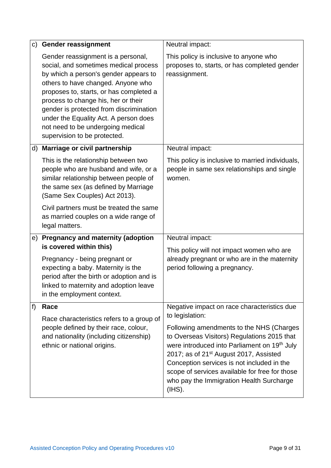|    | c) Gender reassignment                                                                                                                                                                                                                                                                                                                                                                                | Neutral impact:                                                                                                                                                                                                                                                                                                                                                    |
|----|-------------------------------------------------------------------------------------------------------------------------------------------------------------------------------------------------------------------------------------------------------------------------------------------------------------------------------------------------------------------------------------------------------|--------------------------------------------------------------------------------------------------------------------------------------------------------------------------------------------------------------------------------------------------------------------------------------------------------------------------------------------------------------------|
|    | Gender reassignment is a personal,<br>social, and sometimes medical process<br>by which a person's gender appears to<br>others to have changed. Anyone who<br>proposes to, starts, or has completed a<br>process to change his, her or their<br>gender is protected from discrimination<br>under the Equality Act. A person does<br>not need to be undergoing medical<br>supervision to be protected. | This policy is inclusive to anyone who<br>proposes to, starts, or has completed gender<br>reassignment.                                                                                                                                                                                                                                                            |
| d) | Marriage or civil partnership                                                                                                                                                                                                                                                                                                                                                                         | Neutral impact:                                                                                                                                                                                                                                                                                                                                                    |
|    | This is the relationship between two<br>people who are husband and wife, or a<br>similar relationship between people of<br>the same sex (as defined by Marriage<br>(Same Sex Couples) Act 2013).                                                                                                                                                                                                      | This policy is inclusive to married individuals,<br>people in same sex relationships and single<br>women.                                                                                                                                                                                                                                                          |
|    | Civil partners must be treated the same<br>as married couples on a wide range of<br>legal matters.                                                                                                                                                                                                                                                                                                    |                                                                                                                                                                                                                                                                                                                                                                    |
|    | e) Pregnancy and maternity (adoption<br>is covered within this)                                                                                                                                                                                                                                                                                                                                       | Neutral impact:<br>This policy will not impact women who are                                                                                                                                                                                                                                                                                                       |
|    | Pregnancy - being pregnant or<br>expecting a baby. Maternity is the<br>period after the birth or adoption and is<br>linked to maternity and adoption leave<br>in the employment context.                                                                                                                                                                                                              | already pregnant or who are in the maternity<br>period following a pregnancy.                                                                                                                                                                                                                                                                                      |
| f) | Race<br>Race characteristics refers to a group of                                                                                                                                                                                                                                                                                                                                                     | Negative impact on race characteristics due<br>to legislation:                                                                                                                                                                                                                                                                                                     |
|    | people defined by their race, colour,<br>and nationality (including citizenship)<br>ethnic or national origins.                                                                                                                                                                                                                                                                                       | Following amendments to the NHS (Charges<br>to Overseas Visitors) Regulations 2015 that<br>were introduced into Parliament on 19 <sup>th</sup> July<br>2017; as of 21 <sup>st</sup> August 2017, Assisted<br>Conception services is not included in the<br>scope of services available for free for those<br>who pay the Immigration Health Surcharge<br>$(HSS)$ . |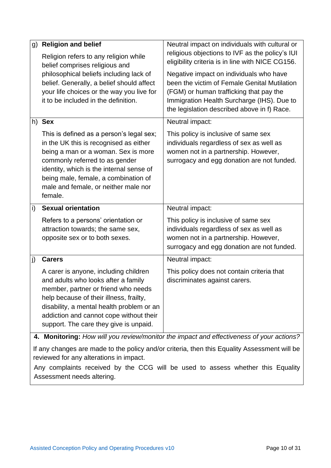| g) | <b>Religion and belief</b>                                                                                                                                                                                                                                                                         | Neutral impact on individuals with cultural or                                                                                                                         |
|----|----------------------------------------------------------------------------------------------------------------------------------------------------------------------------------------------------------------------------------------------------------------------------------------------------|------------------------------------------------------------------------------------------------------------------------------------------------------------------------|
|    | Religion refers to any religion while<br>belief comprises religious and                                                                                                                                                                                                                            | religious objections to IVF as the policy's IUI<br>eligibility criteria is in line with NICE CG156.                                                                    |
|    | philosophical beliefs including lack of<br>belief. Generally, a belief should affect                                                                                                                                                                                                               | Negative impact on individuals who have<br>been the victim of Female Genital Mutilation                                                                                |
|    | your life choices or the way you live for<br>it to be included in the definition.                                                                                                                                                                                                                  | (FGM) or human trafficking that pay the<br>Immigration Health Surcharge (IHS). Due to<br>the legislation described above in f) Race.                                   |
|    | h) Sex                                                                                                                                                                                                                                                                                             | Neutral impact:                                                                                                                                                        |
|    | This is defined as a person's legal sex;<br>in the UK this is recognised as either<br>being a man or a woman. Sex is more<br>commonly referred to as gender<br>identity, which is the internal sense of<br>being male, female, a combination of<br>male and female, or neither male nor<br>female. | This policy is inclusive of same sex<br>individuals regardless of sex as well as<br>women not in a partnership. However,<br>surrogacy and egg donation are not funded. |
| i) | <b>Sexual orientation</b>                                                                                                                                                                                                                                                                          | Neutral impact:                                                                                                                                                        |
|    | Refers to a persons' orientation or<br>attraction towards; the same sex,<br>opposite sex or to both sexes.                                                                                                                                                                                         | This policy is inclusive of same sex<br>individuals regardless of sex as well as<br>women not in a partnership. However,<br>surrogacy and egg donation are not funded. |
| j) | <b>Carers</b>                                                                                                                                                                                                                                                                                      | Neutral impact:                                                                                                                                                        |
|    | A carer is anyone, including children<br>and adults who looks after a family<br>member, partner or friend who needs<br>help because of their illness, frailty,<br>disability, a mental health problem or an<br>addiction and cannot cope without their<br>support. The care they give is unpaid.   | This policy does not contain criteria that<br>discriminates against carers.                                                                                            |
|    |                                                                                                                                                                                                                                                                                                    | 4. Monitoring: How will you review/monitor the impact and effectiveness of your actions?                                                                               |

If any changes are made to the policy and/or criteria, then this Equality Assessment will be reviewed for any alterations in impact.

Any complaints received by the CCG will be used to assess whether this Equality Assessment needs altering.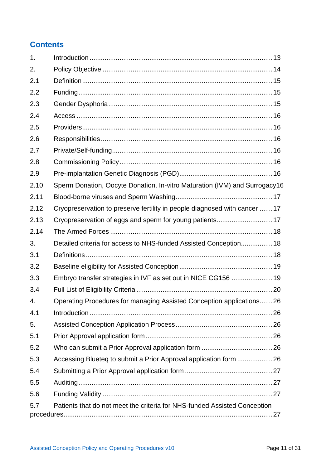## **Contents**

| 1.   |                                                                            |  |
|------|----------------------------------------------------------------------------|--|
| 2.   |                                                                            |  |
| 2.1  |                                                                            |  |
| 2.2  |                                                                            |  |
| 2.3  |                                                                            |  |
| 2.4  |                                                                            |  |
| 2.5  |                                                                            |  |
| 2.6  |                                                                            |  |
| 2.7  |                                                                            |  |
| 2.8  |                                                                            |  |
| 2.9  |                                                                            |  |
| 2.10 | Sperm Donation, Oocyte Donation, In-vitro Maturation (IVM) and Surrogacy16 |  |
| 2.11 |                                                                            |  |
| 2.12 | Cryopreservation to preserve fertility in people diagnosed with cancer 17  |  |
| 2.13 | Cryopreservation of eggs and sperm for young patients17                    |  |
| 2.14 |                                                                            |  |
| 3.   | Detailed criteria for access to NHS-funded Assisted Conception 18          |  |
| 3.1  |                                                                            |  |
| 3.2  |                                                                            |  |
| 3.3  | Embryo transfer strategies in IVF as set out in NICE CG156 19              |  |
| 3.4  |                                                                            |  |
| 4.   | Operating Procedures for managing Assisted Conception applications26       |  |
| 4.1  |                                                                            |  |
| 5.   |                                                                            |  |
| 5.1  |                                                                            |  |
| 5.2  |                                                                            |  |
| 5.3  | Accessing Blueteq to submit a Prior Approval application form 26           |  |
| 5.4  |                                                                            |  |
| 5.5  |                                                                            |  |
| 5.6  |                                                                            |  |
| 5.7  | Patients that do not meet the criteria for NHS-funded Assisted Conception  |  |
|      |                                                                            |  |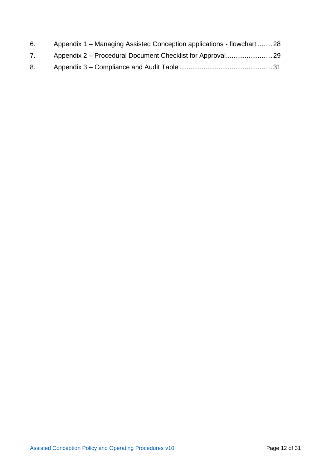| 6. | Appendix 1 – Managing Assisted Conception applications - flowchart 28 |  |
|----|-----------------------------------------------------------------------|--|
| 7. |                                                                       |  |
| 8. |                                                                       |  |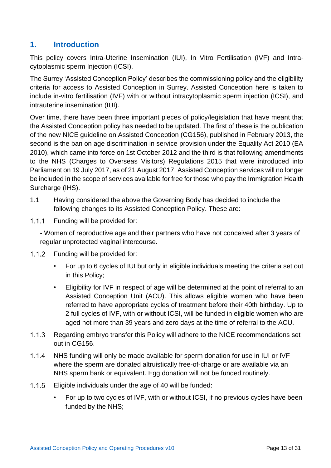## <span id="page-12-0"></span>**1. Introduction**

This policy covers Intra-Uterine Insemination (IUI), In Vitro Fertilisation (IVF) and Intracytoplasmic sperm Injection (ICSI).

The Surrey 'Assisted Conception Policy' describes the commissioning policy and the eligibility criteria for access to Assisted Conception in Surrey. Assisted Conception here is taken to include in-vitro fertilisation (IVF) with or without intracytoplasmic sperm injection (ICSI), and intrauterine insemination (IUI).

Over time, there have been three important pieces of policy/legislation that have meant that the Assisted Conception policy has needed to be updated. The first of these is the publication of the new NICE guideline on Assisted Conception (CG156), published in February 2013, the second is the ban on age discrimination in service provision under the Equality Act 2010 (EA 2010), which came into force on 1st October 2012 and the third is that following amendments to the NHS (Charges to Overseas Visitors) Regulations 2015 that were introduced into Parliament on 19 July 2017, as of 21 August 2017, Assisted Conception services will no longer be included in the scope of services available for free for those who pay the Immigration Health Surcharge (IHS).

- 1.1 Having considered the above the Governing Body has decided to include the following changes to its Assisted Conception Policy. These are:
- $1.1.1$ Funding will be provided for:

- Women of reproductive age and their partners who have not conceived after 3 years of regular unprotected vaginal intercourse.

- 1.1.2 Funding will be provided for:
	- For up to 6 cycles of IUI but only in eligible individuals meeting the criteria set out in this Policy;
	- Eligibility for IVF in respect of age will be determined at the point of referral to an Assisted Conception Unit (ACU). This allows eligible women who have been referred to have appropriate cycles of treatment before their 40th birthday. Up to 2 full cycles of IVF, with or without ICSI, will be funded in eligible women who are aged not more than 39 years and zero days at the time of referral to the ACU.
- $1.1.3$ Regarding embryo transfer this Policy will adhere to the NICE recommendations set out in CG156.
- $1.1.4$ NHS funding will only be made available for sperm donation for use in IUI or IVF where the sperm are donated altruistically free-of-charge or are available via an NHS sperm bank or equivalent. Egg donation will not be funded routinely.
- $1.1.5$ Eligible individuals under the age of 40 will be funded:
	- For up to two cycles of IVF, with or without ICSI, if no previous cycles have been funded by the NHS;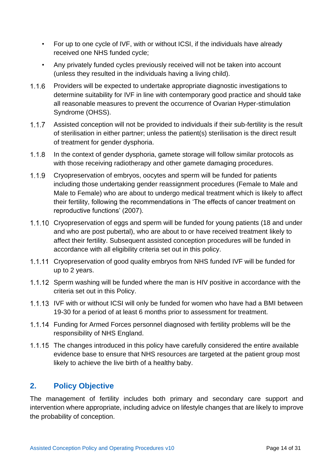- For up to one cycle of IVF, with or without ICSI, if the individuals have already received one NHS funded cycle;
- Any privately funded cycles previously received will not be taken into account (unless they resulted in the individuals having a living child).
- $1.1.6$ Providers will be expected to undertake appropriate diagnostic investigations to determine suitability for IVF in line with contemporary good practice and should take all reasonable measures to prevent the occurrence of Ovarian Hyper-stimulation Syndrome (OHSS).
- $1.1.7$ Assisted conception will not be provided to individuals if their sub-fertility is the result of sterilisation in either partner; unless the patient(s) sterilisation is the direct result of treatment for gender dysphoria.
- $1.1.8$ In the context of gender dysphoria, gamete storage will follow similar protocols as with those receiving radiotherapy and other gamete damaging procedures.
- $1.1.9$ Cryopreservation of embryos, oocytes and sperm will be funded for patients including those undertaking gender reassignment procedures (Female to Male and Male to Female) who are about to undergo medical treatment which is likely to affect their fertility, following the recommendations in 'The effects of cancer treatment on reproductive functions' (2007).
- 1.1.10 Cryopreservation of eggs and sperm will be funded for young patients (18 and under and who are post pubertal), who are about to or have received treatment likely to affect their fertility. Subsequent assisted conception procedures will be funded in accordance with all eligibility criteria set out in this policy.
- 1.1.11 Cryopreservation of good quality embryos from NHS funded IVF will be funded for up to 2 years.
- 1.1.12 Sperm washing will be funded where the man is HIV positive in accordance with the criteria set out in this Policy.
- 1.1.13 IVF with or without ICSI will only be funded for women who have had a BMI between 19-30 for a period of at least 6 months prior to assessment for treatment.
- Funding for Armed Forces personnel diagnosed with fertility problems will be the responsibility of NHS England.
- 1.1.15 The changes introduced in this policy have carefully considered the entire available evidence base to ensure that NHS resources are targeted at the patient group most likely to achieve the live birth of a healthy baby.

## <span id="page-13-0"></span>**2. Policy Objective**

The management of fertility includes both primary and secondary care support and intervention where appropriate, including advice on lifestyle changes that are likely to improve the probability of conception.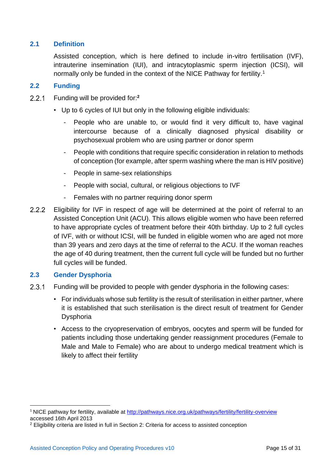#### <span id="page-14-0"></span>**2.1 Definition**

Assisted conception, which is here defined to include in-vitro fertilisation (IVF), intrauterine insemination (IUI), and intracytoplasmic sperm injection (ICSI), will normally only be funded in the context of the NICE Pathway for fertility.<sup>1</sup>

#### <span id="page-14-1"></span>**2.2 Funding**

- $2.2.1$ Funding will be provided for:**<sup>2</sup>**
	- Up to 6 cycles of IUI but only in the following eligible individuals:
		- People who are unable to, or would find it very difficult to, have vaginal intercourse because of a clinically diagnosed physical disability or psychosexual problem who are using partner or donor sperm
		- People with conditions that require specific consideration in relation to methods of conception (for example, after sperm washing where the man is HIV positive)
		- People in same-sex relationships
		- People with social, cultural, or religious objections to IVF
		- Females with no partner requiring donor sperm
- $2.2.2$ Eligibility for IVF in respect of age will be determined at the point of referral to an Assisted Conception Unit (ACU). This allows eligible women who have been referred to have appropriate cycles of treatment before their 40th birthday. Up to 2 full cycles of IVF, with or without ICSI, will be funded in eligible women who are aged not more than 39 years and zero days at the time of referral to the ACU. If the woman reaches the age of 40 during treatment, then the current full cycle will be funded but no further full cycles will be funded.

#### <span id="page-14-2"></span>**2.3 Gender Dysphoria**

- $2.3.1$ Funding will be provided to people with gender dysphoria in the following cases:
	- For individuals whose sub fertility is the result of sterilisation in either partner, where it is established that such sterilisation is the direct result of treatment for Gender Dysphoria
	- Access to the cryopreservation of embryos, oocytes and sperm will be funded for patients including those undertaking gender reassignment procedures (Female to Male and Male to Female) who are about to undergo medical treatment which is likely to affect their fertility

<sup>&</sup>lt;sup>1</sup> NICE pathway for fertility, available at http://pathways.nice.org.uk/pathways/fertility/fertility-overview accessed 16th April 2013

<sup>2</sup> Eligibility criteria are listed in full in Section 2: Criteria for access to assisted conception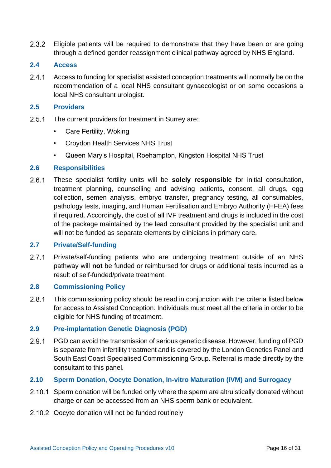$2.3.2$ Eligible patients will be required to demonstrate that they have been or are going through a defined gender reassignment clinical pathway agreed by NHS England.

#### <span id="page-15-0"></span>**2.4 Access**

 $2.4.1$ Access to funding for specialist assisted conception treatments will normally be on the recommendation of a local NHS consultant gynaecologist or on some occasions a local NHS consultant urologist.

#### <span id="page-15-1"></span>**2.5 Providers**

- $2.5.1$ The current providers for treatment in Surrey are:
	- Care Fertility, Woking
	- Croydon Health Services NHS Trust
	- Queen Mary's Hospital, Roehampton, Kingston Hospital NHS Trust

#### <span id="page-15-2"></span>**2.6 Responsibilities**

 $2.6.1$ These specialist fertility units will be **solely responsible** for initial consultation, treatment planning, counselling and advising patients, consent, all drugs, egg collection, semen analysis, embryo transfer, pregnancy testing, all consumables, pathology tests, imaging, and Human Fertilisation and Embryo Authority (HFEA) fees if required. Accordingly, the cost of all IVF treatment and drugs is included in the cost of the package maintained by the lead consultant provided by the specialist unit and will not be funded as separate elements by clinicians in primary care.

#### <span id="page-15-3"></span>**2.7 Private/Self-funding**

 $2.7.1$ Private/self-funding patients who are undergoing treatment outside of an NHS pathway will **not** be funded or reimbursed for drugs or additional tests incurred as a result of self-funded/private treatment.

#### <span id="page-15-4"></span>**2.8 Commissioning Policy**

 $2.8.1$ This commissioning policy should be read in conjunction with the criteria listed below for access to Assisted Conception. Individuals must meet all the criteria in order to be eligible for NHS funding of treatment.

#### <span id="page-15-5"></span>**2.9 Pre-implantation Genetic Diagnosis (PGD)**

 $2.9.1$ PGD can avoid the transmission of serious genetic disease. However, funding of PGD is separate from infertility treatment and is covered by the London Genetics Panel and South East Coast Specialised Commissioning Group. Referral is made directly by the consultant to this panel.

#### <span id="page-15-6"></span>**2.10 Sperm Donation, Oocyte Donation, In-vitro Maturation (IVM) and Surrogacy**

- 2.10.1 Sperm donation will be funded only where the sperm are altruistically donated without charge or can be accessed from an NHS sperm bank or equivalent.
- 2.10.2 Oocyte donation will not be funded routinely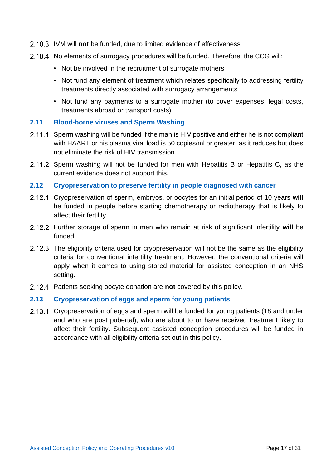- IVM will **not** be funded, due to limited evidence of effectiveness
- 2.10.4 No elements of surrogacy procedures will be funded. Therefore, the CCG will:
	- Not be involved in the recruitment of surrogate mothers
	- Not fund any element of treatment which relates specifically to addressing fertility treatments directly associated with surrogacy arrangements
	- Not fund any payments to a surrogate mother (to cover expenses, legal costs, treatments abroad or transport costs)

#### <span id="page-16-0"></span>**2.11 Blood-borne viruses and Sperm Washing**

- 2.11.1 Sperm washing will be funded if the man is HIV positive and either he is not compliant with HAART or his plasma viral load is 50 copies/ml or greater, as it reduces but does not eliminate the risk of HIV transmission.
- 2.11.2 Sperm washing will not be funded for men with Hepatitis B or Hepatitis C, as the current evidence does not support this.

#### <span id="page-16-1"></span>**2.12 Cryopreservation to preserve fertility in people diagnosed with cancer**

- Cryopreservation of sperm, embryos, or oocytes for an initial period of 10 years **will** be funded in people before starting chemotherapy or radiotherapy that is likely to affect their fertility.
- Further storage of sperm in men who remain at risk of significant infertility **will** be funded.
- 2.12.3 The eligibility criteria used for cryopreservation will not be the same as the eligibility criteria for conventional infertility treatment. However, the conventional criteria will apply when it comes to using stored material for assisted conception in an NHS setting.
- Patients seeking oocyte donation are **not** covered by this policy.

#### <span id="page-16-2"></span>**2.13 Cryopreservation of eggs and sperm for young patients**

2.13.1 Cryopreservation of eggs and sperm will be funded for young patients (18 and under and who are post pubertal), who are about to or have received treatment likely to affect their fertility. Subsequent assisted conception procedures will be funded in accordance with all eligibility criteria set out in this policy.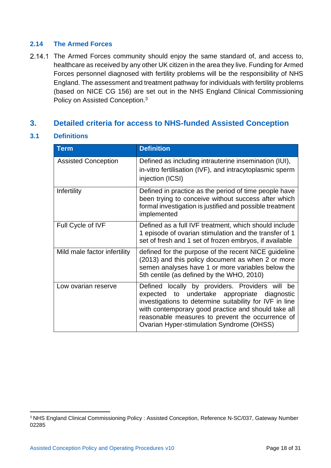#### <span id="page-17-0"></span>**2.14 The Armed Forces**

2.14.1 The Armed Forces community should enjoy the same standard of, and access to, healthcare as received by any other UK citizen in the area they live. Funding for Armed Forces personnel diagnosed with fertility problems will be the responsibility of NHS England. The assessment and treatment pathway for individuals with fertility problems (based on NICE CG 156) are set out in the NHS England Clinical Commissioning Policy on Assisted Conception.<sup>3</sup>

## <span id="page-17-1"></span>**3. Detailed criteria for access to NHS-funded Assisted Conception**

#### <span id="page-17-2"></span>**3.1 Definitions**

| <b>Term</b>                  | <b>Definition</b>                                                                                                                                                                                                                                                                                                  |
|------------------------------|--------------------------------------------------------------------------------------------------------------------------------------------------------------------------------------------------------------------------------------------------------------------------------------------------------------------|
| <b>Assisted Conception</b>   | Defined as including intrauterine insemination (IUI),<br>in-vitro fertilisation (IVF), and intracytoplasmic sperm<br>injection (ICSI)                                                                                                                                                                              |
| Infertility                  | Defined in practice as the period of time people have<br>been trying to conceive without success after which<br>formal investigation is justified and possible treatment<br>implemented                                                                                                                            |
| Full Cycle of IVF            | Defined as a full IVF treatment, which should include<br>1 episode of ovarian stimulation and the transfer of 1<br>set of fresh and 1 set of frozen embryos, if available                                                                                                                                          |
| Mild male factor infertility | defined for the purpose of the recent NICE guideline<br>(2013) and this policy document as when 2 or more<br>semen analyses have 1 or more variables below the<br>5th centile (as defined by the WHO, 2010)                                                                                                        |
| Low ovarian reserve          | Defined locally by providers. Providers will be<br>expected to undertake appropriate diagnostic<br>investigations to determine suitability for IVF in line<br>with contemporary good practice and should take all<br>reasonable measures to prevent the occurrence of<br>Ovarian Hyper-stimulation Syndrome (OHSS) |

<sup>&</sup>lt;sup>3</sup> NHS England Clinical Commissioning Policy : Assisted Conception, Reference N-SC/037, Gateway Number 02285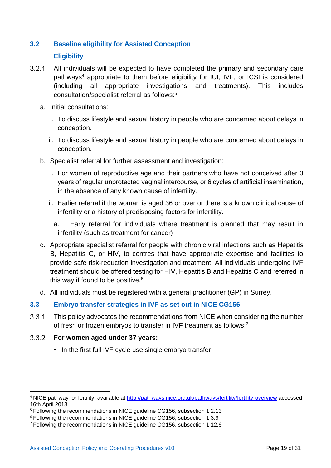## <span id="page-18-0"></span>**3.2 Baseline eligibility for Assisted Conception Eligibility**

- $3.2.1$ All individuals will be expected to have completed the primary and secondary care pathways<sup>4</sup> appropriate to them before eligibility for IUI, IVF, or ICSI is considered (including all appropriate investigations and treatments). This includes consultation/specialist referral as follows:<sup>5</sup>
	- a. Initial consultations:
		- i. To discuss lifestyle and sexual history in people who are concerned about delays in conception.
		- ii. To discuss lifestyle and sexual history in people who are concerned about delays in conception.
	- b. Specialist referral for further assessment and investigation:
		- i. For women of reproductive age and their partners who have not conceived after 3 years of regular unprotected vaginal intercourse, or 6 cycles of artificial insemination, in the absence of any known cause of infertility.
		- ii. Earlier referral if the woman is aged 36 or over or there is a known clinical cause of infertility or a history of predisposing factors for infertility.
			- a. Early referral for individuals where treatment is planned that may result in infertility (such as treatment for cancer)
	- c. Appropriate specialist referral for people with chronic viral infections such as Hepatitis B, Hepatitis C, or HIV, to centres that have appropriate expertise and facilities to provide safe risk-reduction investigation and treatment. All individuals undergoing IVF treatment should be offered testing for HIV, Hepatitis B and Hepatitis C and referred in this way if found to be positive. $6$
	- d. All individuals must be registered with a general practitioner (GP) in Surrey.

#### <span id="page-18-1"></span>**3.3 Embryo transfer strategies in IVF as set out in NICE CG156**

 $3.3.1$ This policy advocates the recommendations from NICE when considering the number of fresh or frozen embryos to transfer in IVF treatment as follows:<sup>7</sup>

#### **For women aged under 37 years:**

• In the first full IVF cycle use single embryo transfer

<sup>4</sup> NICE pathway for fertility, available at<http://pathways.nice.org.uk/pathways/fertility/fertility-overview> accessed 16th April 2013

<sup>&</sup>lt;sup>5</sup> Following the recommendations in NICE guideline CG156, subsection 1.2.13

<sup>6</sup> Following the recommendations in NICE guideline CG156, subsection 1.3.9

<sup>7</sup> Following the recommendations in NICE guideline CG156, subsection 1.12.6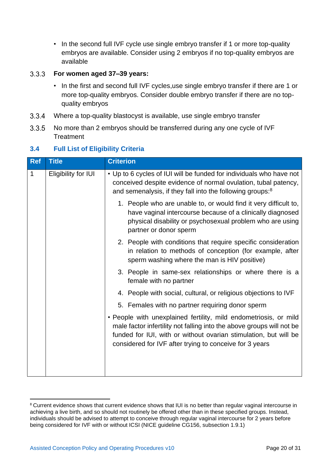• In the second full IVF cycle use single embryo transfer if 1 or more top-quality embryos are available. Consider using 2 embryos if no top-quality embryos are available

#### $3.3.3$ **For women aged 37–39 years:**

- In the first and second full IVF cycles,use single embryo transfer if there are 1 or more top-quality embryos. Consider double embryo transfer if there are no topquality embryos
- $3.3.4$ Where a top-quality blastocyst is available, use single embryo transfer
- No more than 2 embryos should be transferred during any one cycle of IVF  $3.3.5$ **Treatment**

#### <span id="page-19-0"></span>**3.4 Full List of Eligibility Criteria**

| <b>Title</b>        | <b>Criterion</b>                                                                                                                                                                                                                                                         |
|---------------------|--------------------------------------------------------------------------------------------------------------------------------------------------------------------------------------------------------------------------------------------------------------------------|
| Eligibility for IUI | • Up to 6 cycles of IUI will be funded for individuals who have not<br>conceived despite evidence of normal ovulation, tubal patency,<br>and semenalysis, if they fall into the following groups: <sup>8</sup>                                                           |
|                     | 1. People who are unable to, or would find it very difficult to,<br>have vaginal intercourse because of a clinically diagnosed<br>physical disability or psychosexual problem who are using<br>partner or donor sperm                                                    |
|                     | 2. People with conditions that require specific consideration<br>in relation to methods of conception (for example, after<br>sperm washing where the man is HIV positive)                                                                                                |
|                     | 3. People in same-sex relationships or where there is a<br>female with no partner                                                                                                                                                                                        |
|                     | 4. People with social, cultural, or religious objections to IVF                                                                                                                                                                                                          |
|                     | 5. Females with no partner requiring donor sperm                                                                                                                                                                                                                         |
|                     | • People with unexplained fertility, mild endometriosis, or mild<br>male factor infertility not falling into the above groups will not be<br>funded for IUI, with or without ovarian stimulation, but will be<br>considered for IVF after trying to conceive for 3 years |
|                     |                                                                                                                                                                                                                                                                          |

<sup>&</sup>lt;sup>8</sup> Current evidence shows that current evidence shows that IUI is no better than regular vaginal intercourse in achieving a live birth, and so should not routinely be offered other than in these specified groups. Instead, individuals should be advised to attempt to conceive through regular vaginal intercourse for 2 years before being considered for IVF with or without ICSI (NICE guideline CG156, subsection 1.9.1)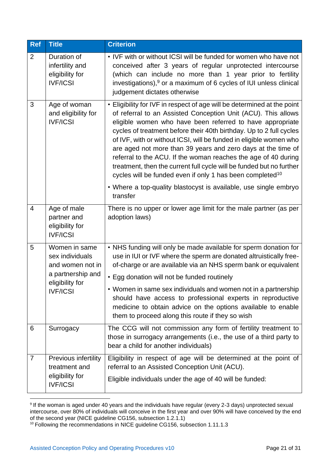| <b>Ref</b>     | <b>Title</b>                                                                                                    | <b>Criterion</b>                                                                                                                                                                                                                                                                                                                                                                                                                                                                                                                                                                                                                                                                                          |
|----------------|-----------------------------------------------------------------------------------------------------------------|-----------------------------------------------------------------------------------------------------------------------------------------------------------------------------------------------------------------------------------------------------------------------------------------------------------------------------------------------------------------------------------------------------------------------------------------------------------------------------------------------------------------------------------------------------------------------------------------------------------------------------------------------------------------------------------------------------------|
| $\overline{2}$ | Duration of<br>infertility and<br>eligibility for<br><b>IVF/ICSI</b>                                            | • IVF with or without ICSI will be funded for women who have not<br>conceived after 3 years of regular unprotected intercourse<br>(which can include no more than 1 year prior to fertility<br>investigations), <sup>9</sup> or a maximum of 6 cycles of IUI unless clinical<br>judgement dictates otherwise                                                                                                                                                                                                                                                                                                                                                                                              |
| 3              | Age of woman<br>and eligibility for<br><b>IVF/ICSI</b>                                                          | • Eligibility for IVF in respect of age will be determined at the point<br>of referral to an Assisted Conception Unit (ACU). This allows<br>eligible women who have been referred to have appropriate<br>cycles of treatment before their 40th birthday. Up to 2 full cycles<br>of IVF, with or without ICSI, will be funded in eligible women who<br>are aged not more than 39 years and zero days at the time of<br>referral to the ACU. If the woman reaches the age of 40 during<br>treatment, then the current full cycle will be funded but no further<br>cycles will be funded even if only 1 has been completed <sup>10</sup><br>• Where a top-quality blastocyst is available, use single embryo |
|                |                                                                                                                 | transfer                                                                                                                                                                                                                                                                                                                                                                                                                                                                                                                                                                                                                                                                                                  |
| $\overline{4}$ | Age of male<br>partner and<br>eligibility for<br><b>IVF/ICSI</b>                                                | There is no upper or lower age limit for the male partner (as per<br>adoption laws)                                                                                                                                                                                                                                                                                                                                                                                                                                                                                                                                                                                                                       |
| 5              | Women in same<br>sex individuals<br>and women not in<br>a partnership and<br>eligibility for<br><b>IVF/ICSI</b> | • NHS funding will only be made available for sperm donation for<br>use in IUI or IVF where the sperm are donated altruistically free-<br>of-charge or are available via an NHS sperm bank or equivalent<br>• Egg donation will not be funded routinely                                                                                                                                                                                                                                                                                                                                                                                                                                                   |
|                |                                                                                                                 | • Women in same sex individuals and women not in a partnership<br>should have access to professional experts in reproductive<br>medicine to obtain advice on the options available to enable<br>them to proceed along this route if they so wish                                                                                                                                                                                                                                                                                                                                                                                                                                                          |
| 6              | Surrogacy                                                                                                       | The CCG will not commission any form of fertility treatment to<br>those in surrogacy arrangements (i.e., the use of a third party to<br>bear a child for another individuals)                                                                                                                                                                                                                                                                                                                                                                                                                                                                                                                             |
| 7              | Previous infertility<br>treatment and<br>eligibility for<br><b>IVF/ICSI</b>                                     | Eligibility in respect of age will be determined at the point of<br>referral to an Assisted Conception Unit (ACU).<br>Eligible individuals under the age of 40 will be funded:                                                                                                                                                                                                                                                                                                                                                                                                                                                                                                                            |

<sup>9</sup> If the woman is aged under 40 years and the individuals have regular (every 2-3 days) unprotected sexual intercourse, over 80% of individuals will conceive in the first year and over 90% will have conceived by the end of the second year (NICE guideline CG156, subsection 1.2.1.1)

<sup>&</sup>lt;sup>10</sup> Following the recommendations in NICE guideline CG156, subsection 1.11.1.3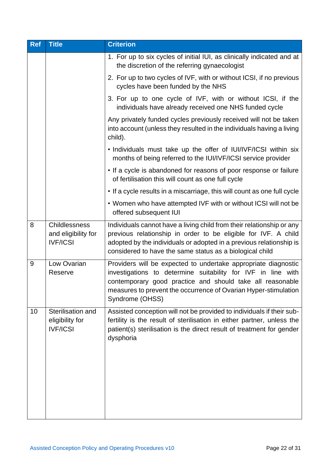| <b>Ref</b> | <b>Title</b>                                                                                                                     | <b>Criterion</b>                                                                                                                                                                                                                                                                  |  |  |  |
|------------|----------------------------------------------------------------------------------------------------------------------------------|-----------------------------------------------------------------------------------------------------------------------------------------------------------------------------------------------------------------------------------------------------------------------------------|--|--|--|
|            |                                                                                                                                  | 1. For up to six cycles of initial IUI, as clinically indicated and at<br>the discretion of the referring gynaecologist                                                                                                                                                           |  |  |  |
|            |                                                                                                                                  | 2. For up to two cycles of IVF, with or without ICSI, if no previous<br>cycles have been funded by the NHS                                                                                                                                                                        |  |  |  |
|            |                                                                                                                                  | 3. For up to one cycle of IVF, with or without ICSI, if the<br>individuals have already received one NHS funded cycle                                                                                                                                                             |  |  |  |
|            |                                                                                                                                  | Any privately funded cycles previously received will not be taken<br>into account (unless they resulted in the individuals having a living<br>child).                                                                                                                             |  |  |  |
|            | . Individuals must take up the offer of IUI/IVF/ICSI within six<br>months of being referred to the IUI/IVF/ICSI service provider |                                                                                                                                                                                                                                                                                   |  |  |  |
|            | • If a cycle is abandoned for reasons of poor response or failure<br>of fertilisation this will count as one full cycle          |                                                                                                                                                                                                                                                                                   |  |  |  |
|            |                                                                                                                                  | • If a cycle results in a miscarriage, this will count as one full cycle                                                                                                                                                                                                          |  |  |  |
|            |                                                                                                                                  | • Women who have attempted IVF with or without ICSI will not be<br>offered subsequent IUI                                                                                                                                                                                         |  |  |  |
| 8          | <b>Childlessness</b><br>and eligibility for<br><b>IVF/ICSI</b>                                                                   | Individuals cannot have a living child from their relationship or any<br>previous relationship in order to be eligible for IVF. A child<br>adopted by the individuals or adopted in a previous relationship is<br>considered to have the same status as a biological child        |  |  |  |
| 9          | Low Ovarian<br>Reserve                                                                                                           | Providers will be expected to undertake appropriate diagnostic<br>investigations to determine suitability for IVF in line with<br>contemporary good practice and should take all reasonable<br>measures to prevent the occurrence of Ovarian Hyper-stimulation<br>Syndrome (OHSS) |  |  |  |
| 10         | Sterilisation and<br>eligibility for<br><b>IVF/ICSI</b>                                                                          | Assisted conception will not be provided to individuals if their sub-<br>fertility is the result of sterilisation in either partner, unless the<br>patient(s) sterilisation is the direct result of treatment for gender<br>dysphoria                                             |  |  |  |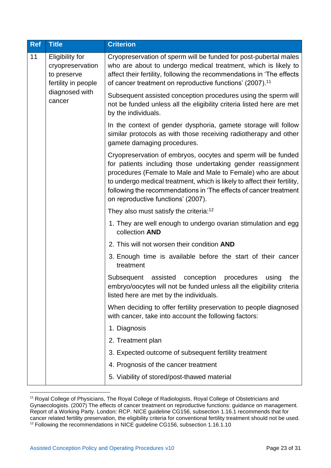| <b>Ref</b> | <b>Title</b>                                                                     | <b>Criterion</b>                                                                                                                                                                                                                                                                                                                                                                     |  |  |  |
|------------|----------------------------------------------------------------------------------|--------------------------------------------------------------------------------------------------------------------------------------------------------------------------------------------------------------------------------------------------------------------------------------------------------------------------------------------------------------------------------------|--|--|--|
| 11         | <b>Eligibility for</b><br>cryopreservation<br>to preserve<br>fertility in people | Cryopreservation of sperm will be funded for post-pubertal males<br>who are about to undergo medical treatment, which is likely to<br>affect their fertility, following the recommendations in 'The effects<br>of cancer treatment on reproductive functions' (2007). <sup>11</sup>                                                                                                  |  |  |  |
|            | diagnosed with<br>cancer                                                         | Subsequent assisted conception procedures using the sperm will<br>not be funded unless all the eligibility criteria listed here are met<br>by the individuals.                                                                                                                                                                                                                       |  |  |  |
|            |                                                                                  | In the context of gender dysphoria, gamete storage will follow<br>similar protocols as with those receiving radiotherapy and other<br>gamete damaging procedures.                                                                                                                                                                                                                    |  |  |  |
|            |                                                                                  | Cryopreservation of embryos, oocytes and sperm will be funded<br>for patients including those undertaking gender reassignment<br>procedures (Female to Male and Male to Female) who are about<br>to undergo medical treatment, which is likely to affect their fertility,<br>following the recommendations in 'The effects of cancer treatment<br>on reproductive functions' (2007). |  |  |  |
|            |                                                                                  | They also must satisfy the criteria: <sup>12</sup>                                                                                                                                                                                                                                                                                                                                   |  |  |  |
|            |                                                                                  | 1. They are well enough to undergo ovarian stimulation and egg<br>collection AND                                                                                                                                                                                                                                                                                                     |  |  |  |
|            |                                                                                  | 2. This will not worsen their condition AND                                                                                                                                                                                                                                                                                                                                          |  |  |  |
|            |                                                                                  | 3. Enough time is available before the start of their cancer<br>treatment                                                                                                                                                                                                                                                                                                            |  |  |  |
|            |                                                                                  | assisted<br>conception<br>procedures<br>the<br>Subsequent<br>using<br>embryo/oocytes will not be funded unless all the eligibility criteria<br>listed here are met by the individuals.                                                                                                                                                                                               |  |  |  |
|            |                                                                                  | When deciding to offer fertility preservation to people diagnosed<br>with cancer, take into account the following factors:                                                                                                                                                                                                                                                           |  |  |  |
|            |                                                                                  | 1. Diagnosis                                                                                                                                                                                                                                                                                                                                                                         |  |  |  |
|            |                                                                                  | 2. Treatment plan                                                                                                                                                                                                                                                                                                                                                                    |  |  |  |
|            |                                                                                  | 3. Expected outcome of subsequent fertility treatment                                                                                                                                                                                                                                                                                                                                |  |  |  |
|            |                                                                                  | 4. Prognosis of the cancer treatment                                                                                                                                                                                                                                                                                                                                                 |  |  |  |
|            |                                                                                  | 5. Viability of stored/post-thawed material                                                                                                                                                                                                                                                                                                                                          |  |  |  |

<sup>&</sup>lt;sup>11</sup> Royal College of Physicians, The Royal College of Radiologists, Royal College of Obstetricians and Gynaecologists. (2007) The effects of cancer treatment on reproductive functions: guidance on management. Report of a Working Party. London: RCP. NICE guideline CG156, subsection 1.16.1 recommends that for cancer related fertility preservation, the eligibility criteria for conventional fertility treatment should not be used. <sup>12</sup> Following the recommendations in NICE guideline CG156, subsection 1.16.1.10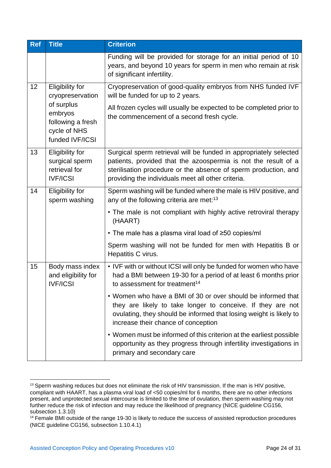| <b>Ref</b> | <b>Title</b>                                                                                                                | <b>Criterion</b>                                                                                                                                                                                                                                                |  |  |  |
|------------|-----------------------------------------------------------------------------------------------------------------------------|-----------------------------------------------------------------------------------------------------------------------------------------------------------------------------------------------------------------------------------------------------------------|--|--|--|
|            |                                                                                                                             | Funding will be provided for storage for an initial period of 10<br>years, and beyond 10 years for sperm in men who remain at risk<br>of significant infertility.                                                                                               |  |  |  |
| 12         | <b>Eligibility for</b><br>cryopreservation<br>of surplus<br>embryos<br>following a fresh<br>cycle of NHS<br>funded IVF/ICSI | Cryopreservation of good-quality embryos from NHS funded IVF<br>will be funded for up to 2 years.<br>All frozen cycles will usually be expected to be completed prior to<br>the commencement of a second fresh cycle.                                           |  |  |  |
| 13         | <b>Eligibility for</b><br>surgical sperm<br>retrieval for<br><b>IVF/ICSI</b>                                                | Surgical sperm retrieval will be funded in appropriately selected<br>patients, provided that the azoospermia is not the result of a<br>sterilisation procedure or the absence of sperm production, and<br>providing the individuals meet all other criteria.    |  |  |  |
| 14         | <b>Eligibility for</b><br>sperm washing                                                                                     | Sperm washing will be funded where the male is HIV positive, and<br>any of the following criteria are met: <sup>13</sup><br>• The male is not compliant with highly active retroviral therapy<br>(HAART)<br>• The male has a plasma viral load of ≥50 copies/ml |  |  |  |
|            |                                                                                                                             | Sperm washing will not be funded for men with Hepatitis B or<br>Hepatitis C virus.                                                                                                                                                                              |  |  |  |
| 15         | Body mass index<br>and eligibility for<br><b>IVF/ICSI</b>                                                                   | • IVF with or without ICSI will only be funded for women who have<br>had a BMI between 19-30 for a period of at least 6 months prior<br>to assessment for treatment <sup>14</sup>                                                                               |  |  |  |
|            |                                                                                                                             | • Women who have a BMI of 30 or over should be informed that<br>they are likely to take longer to conceive. If they are not<br>ovulating, they should be informed that losing weight is likely to<br>increase their chance of conception                        |  |  |  |
|            |                                                                                                                             | • Women must be informed of this criterion at the earliest possible<br>opportunity as they progress through infertility investigations in<br>primary and secondary care                                                                                         |  |  |  |

<sup>&</sup>lt;sup>13</sup> Sperm washing reduces but does not eliminate the risk of HIV transmission. If the man is HIV positive, compliant with HAART, has a plasma viral load of <50 copies/ml for 6 months, there are no other infections present, and unprotected sexual intercourse is limited to the time of ovulation, then sperm washing may not further reduce the risk of infection and may reduce the likelihood of pregnancy (NICE guideline CG156, subsection 1.3.10)

<sup>&</sup>lt;sup>14</sup> Female BMI outside of the range 19-30 is likely to reduce the success of assisted reproduction procedures (NICE guideline CG156, subsection 1.10.4.1)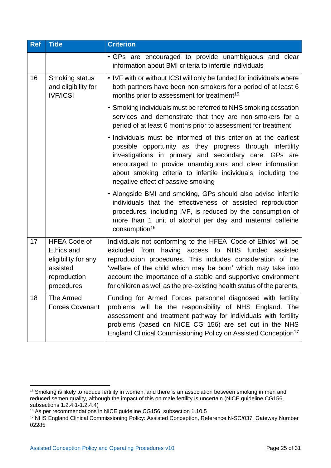| <b>Ref</b> | <b>Title</b>                                                                                                                                                                                     | <b>Criterion</b>                                                                                                                                                                                                                                                                                                                                                                                |  |  |  |  |  |
|------------|--------------------------------------------------------------------------------------------------------------------------------------------------------------------------------------------------|-------------------------------------------------------------------------------------------------------------------------------------------------------------------------------------------------------------------------------------------------------------------------------------------------------------------------------------------------------------------------------------------------|--|--|--|--|--|
|            |                                                                                                                                                                                                  | • GPs are encouraged to provide unambiguous and clear<br>information about BMI criteria to infertile individuals                                                                                                                                                                                                                                                                                |  |  |  |  |  |
| 16         | • IVF with or without ICSI will only be funded for individuals where<br>both partners have been non-smokers for a period of at least 6<br>months prior to assessment for treatment <sup>15</sup> |                                                                                                                                                                                                                                                                                                                                                                                                 |  |  |  |  |  |
|            |                                                                                                                                                                                                  | • Smoking individuals must be referred to NHS smoking cessation<br>services and demonstrate that they are non-smokers for a<br>period of at least 6 months prior to assessment for treatment                                                                                                                                                                                                    |  |  |  |  |  |
|            |                                                                                                                                                                                                  | . Individuals must be informed of this criterion at the earliest<br>possible opportunity as they progress through infertility<br>investigations in primary and secondary care. GPs are<br>encouraged to provide unambiguous and clear information<br>about smoking criteria to infertile individuals, including the<br>negative effect of passive smoking                                       |  |  |  |  |  |
|            |                                                                                                                                                                                                  | • Alongside BMI and smoking, GPs should also advise infertile<br>individuals that the effectiveness of assisted reproduction<br>procedures, including IVF, is reduced by the consumption of<br>more than 1 unit of alcohol per day and maternal caffeine<br>consumption <sup>16</sup>                                                                                                           |  |  |  |  |  |
| 17         | <b>HFEA Code of</b><br>Ethics and<br>eligibility for any<br>assisted<br>reproduction<br>procedures                                                                                               | Individuals not conforming to the HFEA 'Code of Ethics' will be<br>excluded from having access to NHS funded assisted<br>reproduction procedures. This includes consideration of the<br>'welfare of the child which may be born' which may take into<br>account the importance of a stable and supportive environment<br>for children as well as the pre-existing health status of the parents. |  |  |  |  |  |
| 18         | The Armed<br><b>Forces Covenant</b>                                                                                                                                                              | Funding for Armed Forces personnel diagnosed with fertility<br>problems will be the responsibility of NHS England. The<br>assessment and treatment pathway for individuals with fertility<br>problems (based on NICE CG 156) are set out in the NHS<br>England Clinical Commissioning Policy on Assisted Conception <sup>17</sup>                                                               |  |  |  |  |  |

<sup>&</sup>lt;sup>15</sup> Smoking is likely to reduce fertility in women, and there is an association between smoking in men and reduced semen quality, although the impact of this on male fertility is uncertain (NICE guideline CG156, subsections 1.2.4.1-1.2.4.4)

<sup>&</sup>lt;sup>16</sup> As per recommendations in NICE guideline CG156, subsection 1.10.5

<sup>17</sup> NHS England Clinical Commissioning Policy: Assisted Conception, Reference N-SC/037, Gateway Number 02285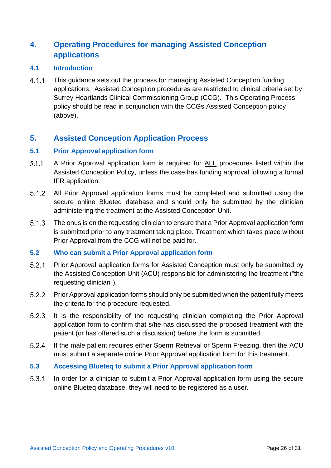## <span id="page-25-0"></span>**4. Operating Procedures for managing Assisted Conception applications**

#### <span id="page-25-1"></span>**4.1 Introduction**

 $4.1.1$ This guidance sets out the process for managing Assisted Conception funding applications. Assisted Conception procedures are restricted to clinical criteria set by Surrey Heartlands Clinical Commissioning Group (CCG). This Operating Process policy should be read in conjunction with the CCGs Assisted Conception policy (above).

### <span id="page-25-2"></span>**5. Assisted Conception Application Process**

#### <span id="page-25-3"></span>**5.1 Prior Approval application form**

- $5.1.1$ A Prior Approval application form is required for ALL procedures listed within the Assisted Conception Policy, unless the case has funding approval following a formal IFR application.
- $5.1.2$ All Prior Approval application forms must be completed and submitted using the secure online Blueteq database and should only be submitted by the clinician administering the treatment at the Assisted Conception Unit.
- $5.1.3$ The onus is on the requesting clinician to ensure that a Prior Approval application form is submitted prior to any treatment taking place. Treatment which takes place without Prior Approval from the CCG will not be paid for.

#### <span id="page-25-4"></span>**5.2 Who can submit a Prior Approval application form**

- Prior Approval application forms for Assisted Conception must only be submitted by  $5.2.1$ the Assisted Conception Unit (ACU) responsible for administering the treatment ("the requesting clinician").
- $5.2.2$ Prior Approval application forms should only be submitted when the patient fully meets the criteria for the procedure requested.
- $5.2.3$ It is the responsibility of the requesting clinician completing the Prior Approval application form to confirm that s/he has discussed the proposed treatment with the patient (or has offered such a discussion) before the form is submitted.
- $5.2.4$ If the male patient requires either Sperm Retrieval or Sperm Freezing, then the ACU must submit a separate online Prior Approval application form for this treatment.

#### <span id="page-25-5"></span>**5.3 Accessing Blueteq to submit a Prior Approval application form**

 $5.3.1$ In order for a clinician to submit a Prior Approval application form using the secure online Blueteq database, they will need to be registered as a user.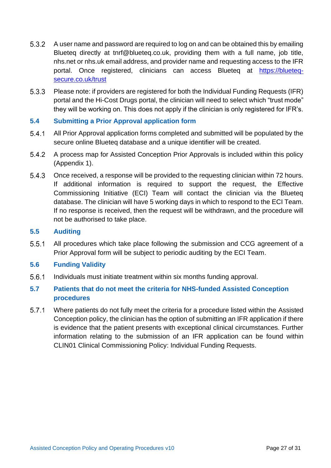- 5.3.2 A user name and password are required to log on and can be obtained this by emailing Blueteq directly at [tnrf@blueteq.co.uk,](mailto:tnrf@blueteq.co.uk) providing them with a full name, job title, nhs.net or nhs.uk email address, and provider name and requesting access to the IFR portal. Once registered, clinicians can access Blueteq at [https://blueteq](https://blueteq-secure.co.uk/trust)[secure.co.uk/trust](https://blueteq-secure.co.uk/trust)
- $5.3.3$ Please note: if providers are registered for both the Individual Funding Requests (IFR) portal and the Hi-Cost Drugs portal, the clinician will need to select which "trust mode" they will be working on. This does not apply if the clinician is only registered for IFR's.

#### <span id="page-26-0"></span>**5.4 Submitting a Prior Approval application form**

- $5.4.1$ All Prior Approval application forms completed and submitted will be populated by the secure online Blueteq database and a unique identifier will be created.
- 5.4.2 A process map for Assisted Conception Prior Approvals is included within this policy (Appendix 1).
- 5.4.3 Once received, a response will be provided to the requesting clinician within 72 hours. If additional information is required to support the request, the Effective Commissioning Initiative (ECI) Team will contact the clinician via the Blueteq database. The clinician will have 5 working days in which to respond to the ECI Team. If no response is received, then the request will be withdrawn, and the procedure will not be authorised to take place.

#### <span id="page-26-1"></span>**5.5 Auditing**

- $5.5.1$ All procedures which take place following the submission and CCG agreement of a Prior Approval form will be subject to periodic auditing by the ECI Team.
- <span id="page-26-2"></span>**5.6 Funding Validity**
- $5.6.1$ Individuals must initiate treatment within six months funding approval.
- <span id="page-26-3"></span>**5.7 Patients that do not meet the criteria for NHS-funded Assisted Conception procedures**
- $5.7.1$ Where patients do not fully meet the criteria for a procedure listed within the Assisted Conception policy, the clinician has the option of submitting an IFR application if there is evidence that the patient presents with exceptional clinical circumstances. Further information relating to the submission of an IFR application can be found within CLIN01 Clinical Commissioning Policy: Individual Funding Requests.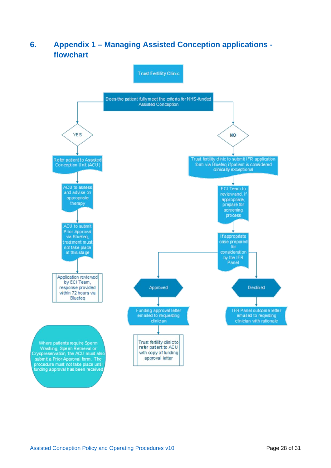## <span id="page-27-0"></span>**6. Appendix 1 – Managing Assisted Conception applications flowchart**

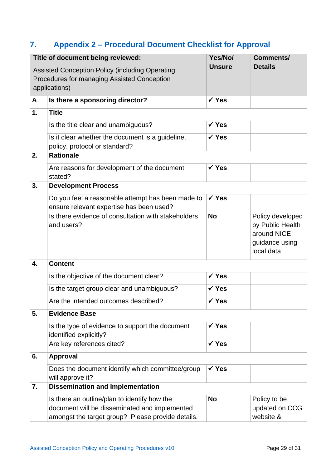## <span id="page-28-0"></span>**7. Appendix 2 – Procedural Document Checklist for Approval**

|               | Title of document being reviewed:                                                                                                                  | Yes/No/          | <b>Comments/</b>                                                                    |  |
|---------------|----------------------------------------------------------------------------------------------------------------------------------------------------|------------------|-------------------------------------------------------------------------------------|--|
|               | Assisted Conception Policy (including Operating<br>Procedures for managing Assisted Conception<br>applications)                                    | <b>Unsure</b>    | <b>Details</b>                                                                      |  |
| A             | Is there a sponsoring director?                                                                                                                    | $\checkmark$ Yes |                                                                                     |  |
| $\mathbf 1$ . | <b>Title</b>                                                                                                                                       |                  |                                                                                     |  |
|               | Is the title clear and unambiguous?                                                                                                                | $\checkmark$ Yes |                                                                                     |  |
|               | Is it clear whether the document is a guideline,<br>policy, protocol or standard?                                                                  | $\checkmark$ Yes |                                                                                     |  |
| 2.            | <b>Rationale</b>                                                                                                                                   |                  |                                                                                     |  |
|               | Are reasons for development of the document<br>stated?                                                                                             | $\checkmark$ Yes |                                                                                     |  |
| 3.            | <b>Development Process</b>                                                                                                                         |                  |                                                                                     |  |
|               | Do you feel a reasonable attempt has been made to<br>ensure relevant expertise has been used?                                                      | $\checkmark$ Yes |                                                                                     |  |
|               | Is there evidence of consultation with stakeholders<br>and users?                                                                                  | <b>No</b>        | Policy developed<br>by Public Health<br>around NICE<br>guidance using<br>local data |  |
| 4.            | <b>Content</b>                                                                                                                                     |                  |                                                                                     |  |
|               | Is the objective of the document clear?                                                                                                            | $\checkmark$ Yes |                                                                                     |  |
|               | Is the target group clear and unambiguous?                                                                                                         | $\checkmark$ Yes |                                                                                     |  |
|               | Are the intended outcomes described?                                                                                                               | $\checkmark$ Yes |                                                                                     |  |
| 5.            | <b>Evidence Base</b>                                                                                                                               |                  |                                                                                     |  |
|               | Is the type of evidence to support the document<br>identified explicitly?                                                                          | $\checkmark$ Yes |                                                                                     |  |
|               | Are key references cited?                                                                                                                          | $\checkmark$ Yes |                                                                                     |  |
| 6.            | <b>Approval</b>                                                                                                                                    |                  |                                                                                     |  |
|               | Does the document identify which committee/group<br>will approve it?                                                                               | $\checkmark$ Yes |                                                                                     |  |
| 7.            | <b>Dissemination and Implementation</b>                                                                                                            |                  |                                                                                     |  |
|               | Is there an outline/plan to identify how the<br>document will be disseminated and implemented<br>amongst the target group? Please provide details. | <b>No</b>        | Policy to be<br>updated on CCG<br>website &                                         |  |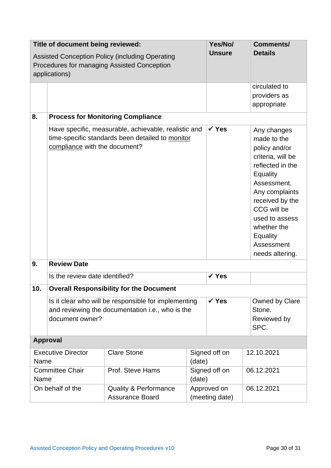| Title of document being reviewed:                                                                                      |                                                                                                                             |                                                                                                          | Yes/No/                 | <b>Comments/</b>              |                                                                                                                                                                                                                                                   |  |
|------------------------------------------------------------------------------------------------------------------------|-----------------------------------------------------------------------------------------------------------------------------|----------------------------------------------------------------------------------------------------------|-------------------------|-------------------------------|---------------------------------------------------------------------------------------------------------------------------------------------------------------------------------------------------------------------------------------------------|--|
| <b>Assisted Conception Policy (including Operating</b><br>Procedures for managing Assisted Conception<br>applications) |                                                                                                                             |                                                                                                          | <b>Unsure</b>           | <b>Details</b>                |                                                                                                                                                                                                                                                   |  |
|                                                                                                                        |                                                                                                                             |                                                                                                          |                         |                               | circulated to<br>providers as<br>appropriate                                                                                                                                                                                                      |  |
| 8.                                                                                                                     |                                                                                                                             | <b>Process for Monitoring Compliance</b>                                                                 |                         |                               |                                                                                                                                                                                                                                                   |  |
|                                                                                                                        | compliance with the document?                                                                                               | Have specific, measurable, achievable, realistic and<br>time-specific standards been detailed to monitor |                         | $\checkmark$ Yes              | Any changes<br>made to the<br>policy and/or<br>criteria, will be<br>reflected in the<br>Equality<br>Assessment.<br>Any complaints<br>received by the<br>CCG will be<br>used to assess<br>whether the<br>Equality<br>Assessment<br>needs altering. |  |
| 9.                                                                                                                     | <b>Review Date</b>                                                                                                          |                                                                                                          |                         |                               |                                                                                                                                                                                                                                                   |  |
|                                                                                                                        | Is the review date identified?                                                                                              |                                                                                                          |                         | $\checkmark$ Yes              |                                                                                                                                                                                                                                                   |  |
| 10.                                                                                                                    | <b>Overall Responsibility for the Document</b>                                                                              |                                                                                                          |                         |                               |                                                                                                                                                                                                                                                   |  |
|                                                                                                                        | Is it clear who will be responsible for implementing<br>and reviewing the documentation i.e., who is the<br>document owner? |                                                                                                          |                         | $\checkmark$ Yes              | Owned by Clare<br>Stone.<br>Reviewed by<br>SPC.                                                                                                                                                                                                   |  |
| <b>Approval</b>                                                                                                        |                                                                                                                             |                                                                                                          |                         |                               |                                                                                                                                                                                                                                                   |  |
| <b>Executive Director</b><br>Name                                                                                      |                                                                                                                             | <b>Clare Stone</b>                                                                                       | (date)                  | Signed off on                 | 12.10.2021                                                                                                                                                                                                                                        |  |
| <b>Committee Chair</b><br>Name                                                                                         |                                                                                                                             | Prof. Steve Hams                                                                                         | Signed off on<br>(date) |                               | 06.12.2021                                                                                                                                                                                                                                        |  |
| On behalf of the                                                                                                       |                                                                                                                             | <b>Quality &amp; Performance</b><br><b>Assurance Board</b>                                               |                         | Approved on<br>(meeting date) | 06.12.2021                                                                                                                                                                                                                                        |  |